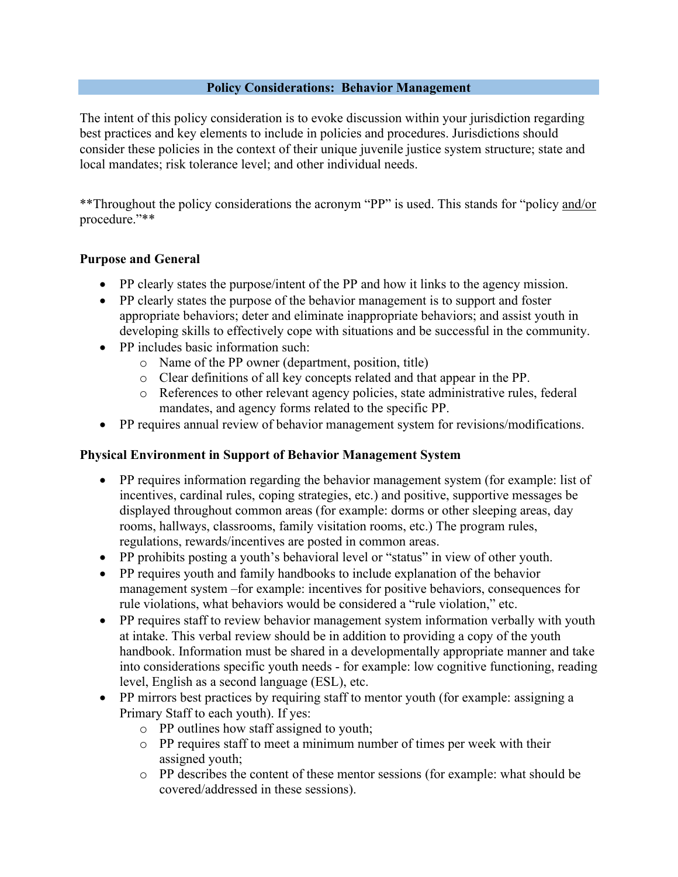#### **Policy Considerations: Behavior Management**

The intent of this policy consideration is to evoke discussion within your jurisdiction regarding best practices and key elements to include in policies and procedures. Jurisdictions should consider these policies in the context of their unique juvenile justice system structure; state and local mandates; risk tolerance level; and other individual needs.

\*\*Throughout the policy considerations the acronym "PP" is used. This stands for "policy and/or procedure."\*\*

### **Purpose and General**

- PP clearly states the purpose/intent of the PP and how it links to the agency mission.
- PP clearly states the purpose of the behavior management is to support and foster appropriate behaviors; deter and eliminate inappropriate behaviors; and assist youth in developing skills to effectively cope with situations and be successful in the community.
- PP includes basic information such:
	- o Name of the PP owner (department, position, title)
	- o Clear definitions of all key concepts related and that appear in the PP.
	- o References to other relevant agency policies, state administrative rules, federal mandates, and agency forms related to the specific PP.
- PP requires annual review of behavior management system for revisions/modifications.

### **Physical Environment in Support of Behavior Management System**

- PP requires information regarding the behavior management system (for example: list of incentives, cardinal rules, coping strategies, etc.) and positive, supportive messages be displayed throughout common areas (for example: dorms or other sleeping areas, day rooms, hallways, classrooms, family visitation rooms, etc.) The program rules, regulations, rewards/incentives are posted in common areas.
- PP prohibits posting a youth's behavioral level or "status" in view of other youth.
- PP requires youth and family handbooks to include explanation of the behavior management system –for example: incentives for positive behaviors, consequences for rule violations, what behaviors would be considered a "rule violation," etc.
- PP requires staff to review behavior management system information verbally with youth at intake. This verbal review should be in addition to providing a copy of the youth handbook. Information must be shared in a developmentally appropriate manner and take into considerations specific youth needs - for example: low cognitive functioning, reading level, English as a second language (ESL), etc.
- PP mirrors best practices by requiring staff to mentor youth (for example: assigning a Primary Staff to each youth). If yes:
	- o PP outlines how staff assigned to youth;
	- o PP requires staff to meet a minimum number of times per week with their assigned youth;
	- o PP describes the content of these mentor sessions (for example: what should be covered/addressed in these sessions).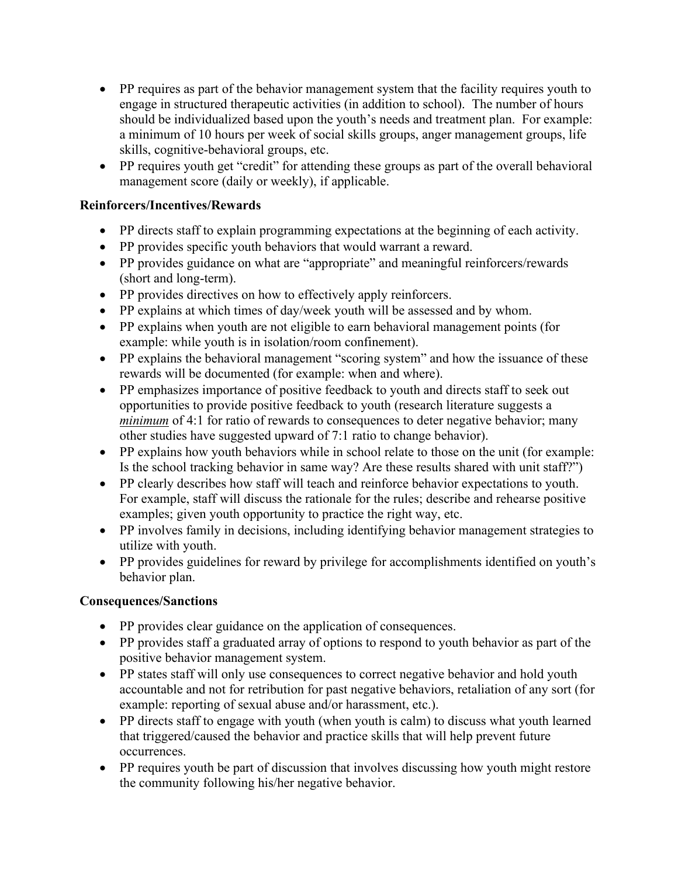- PP requires as part of the behavior management system that the facility requires youth to engage in structured therapeutic activities (in addition to school). The number of hours should be individualized based upon the youth's needs and treatment plan. For example: a minimum of 10 hours per week of social skills groups, anger management groups, life skills, cognitive-behavioral groups, etc.
- PP requires youth get "credit" for attending these groups as part of the overall behavioral management score (daily or weekly), if applicable.

## **Reinforcers/Incentives/Rewards**

- PP directs staff to explain programming expectations at the beginning of each activity.
- PP provides specific youth behaviors that would warrant a reward.
- PP provides guidance on what are "appropriate" and meaningful reinforcers/rewards (short and long-term).
- PP provides directives on how to effectively apply reinforcers.
- PP explains at which times of day/week youth will be assessed and by whom.
- PP explains when youth are not eligible to earn behavioral management points (for example: while youth is in isolation/room confinement).
- PP explains the behavioral management "scoring system" and how the issuance of these rewards will be documented (for example: when and where).
- PP emphasizes importance of positive feedback to youth and directs staff to seek out opportunities to provide positive feedback to youth (research literature suggests a *minimum* of 4:1 for ratio of rewards to consequences to deter negative behavior; many other studies have suggested upward of 7:1 ratio to change behavior).
- PP explains how youth behaviors while in school relate to those on the unit (for example: Is the school tracking behavior in same way? Are these results shared with unit staff?")
- PP clearly describes how staff will teach and reinforce behavior expectations to youth. For example, staff will discuss the rationale for the rules; describe and rehearse positive examples; given youth opportunity to practice the right way, etc.
- PP involves family in decisions, including identifying behavior management strategies to utilize with youth.
- PP provides guidelines for reward by privilege for accomplishments identified on youth's behavior plan.

### **Consequences/Sanctions**

- PP provides clear guidance on the application of consequences.
- PP provides staff a graduated array of options to respond to youth behavior as part of the positive behavior management system.
- PP states staff will only use consequences to correct negative behavior and hold youth accountable and not for retribution for past negative behaviors, retaliation of any sort (for example: reporting of sexual abuse and/or harassment, etc.).
- PP directs staff to engage with youth (when youth is calm) to discuss what youth learned that triggered/caused the behavior and practice skills that will help prevent future occurrences.
- PP requires youth be part of discussion that involves discussing how youth might restore the community following his/her negative behavior.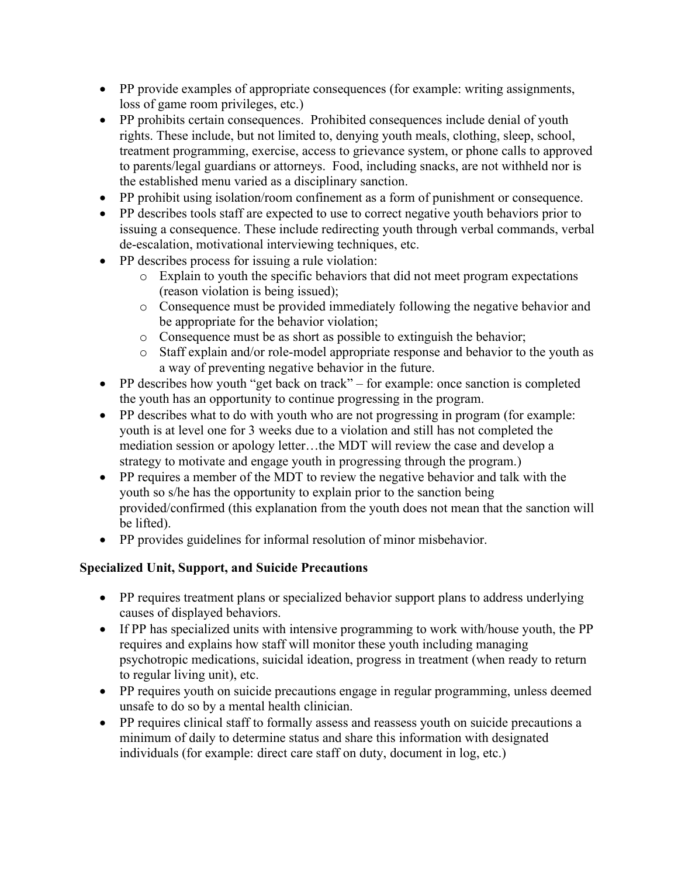- PP provide examples of appropriate consequences (for example: writing assignments, loss of game room privileges, etc.)
- PP prohibits certain consequences. Prohibited consequences include denial of youth rights. These include, but not limited to, denying youth meals, clothing, sleep, school, treatment programming, exercise, access to grievance system, or phone calls to approved to parents/legal guardians or attorneys. Food, including snacks, are not withheld nor is the established menu varied as a disciplinary sanction.
- PP prohibit using isolation/room confinement as a form of punishment or consequence.
- PP describes tools staff are expected to use to correct negative youth behaviors prior to issuing a consequence. These include redirecting youth through verbal commands, verbal de-escalation, motivational interviewing techniques, etc.
- PP describes process for issuing a rule violation:
	- o Explain to youth the specific behaviors that did not meet program expectations (reason violation is being issued);
	- o Consequence must be provided immediately following the negative behavior and be appropriate for the behavior violation;
	- o Consequence must be as short as possible to extinguish the behavior;
	- o Staff explain and/or role-model appropriate response and behavior to the youth as a way of preventing negative behavior in the future.
- PP describes how youth "get back on track" for example: once sanction is completed the youth has an opportunity to continue progressing in the program.
- PP describes what to do with youth who are not progressing in program (for example: youth is at level one for 3 weeks due to a violation and still has not completed the mediation session or apology letter…the MDT will review the case and develop a strategy to motivate and engage youth in progressing through the program.)
- PP requires a member of the MDT to review the negative behavior and talk with the youth so s/he has the opportunity to explain prior to the sanction being provided/confirmed (this explanation from the youth does not mean that the sanction will be lifted).
- PP provides guidelines for informal resolution of minor misbehavior.

# **Specialized Unit, Support, and Suicide Precautions**

- PP requires treatment plans or specialized behavior support plans to address underlying causes of displayed behaviors.
- If PP has specialized units with intensive programming to work with/house youth, the PP requires and explains how staff will monitor these youth including managing psychotropic medications, suicidal ideation, progress in treatment (when ready to return to regular living unit), etc.
- PP requires youth on suicide precautions engage in regular programming, unless deemed unsafe to do so by a mental health clinician.
- PP requires clinical staff to formally assess and reassess youth on suicide precautions a minimum of daily to determine status and share this information with designated individuals (for example: direct care staff on duty, document in log, etc.)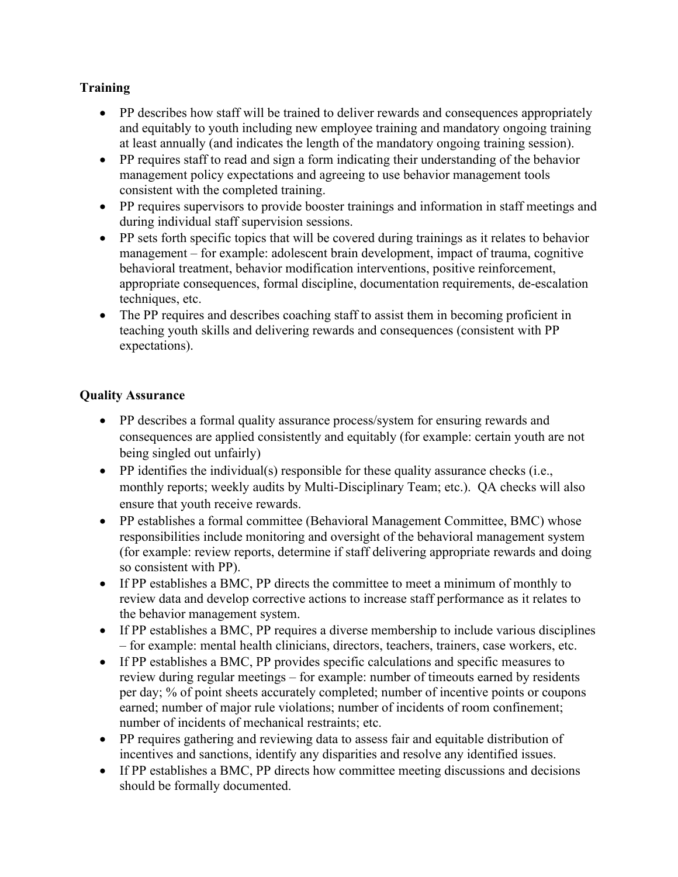# **Training**

- PP describes how staff will be trained to deliver rewards and consequences appropriately and equitably to youth including new employee training and mandatory ongoing training at least annually (and indicates the length of the mandatory ongoing training session).
- PP requires staff to read and sign a form indicating their understanding of the behavior management policy expectations and agreeing to use behavior management tools consistent with the completed training.
- PP requires supervisors to provide booster trainings and information in staff meetings and during individual staff supervision sessions.
- PP sets forth specific topics that will be covered during trainings as it relates to behavior management – for example: adolescent brain development, impact of trauma, cognitive behavioral treatment, behavior modification interventions, positive reinforcement, appropriate consequences, formal discipline, documentation requirements, de-escalation techniques, etc.
- The PP requires and describes coaching staff to assist them in becoming proficient in teaching youth skills and delivering rewards and consequences (consistent with PP expectations).

## **Quality Assurance**

- PP describes a formal quality assurance process/system for ensuring rewards and consequences are applied consistently and equitably (for example: certain youth are not being singled out unfairly)
- PP identifies the individual(s) responsible for these quality assurance checks (i.e., monthly reports; weekly audits by Multi-Disciplinary Team; etc.). QA checks will also ensure that youth receive rewards.
- PP establishes a formal committee (Behavioral Management Committee, BMC) whose responsibilities include monitoring and oversight of the behavioral management system (for example: review reports, determine if staff delivering appropriate rewards and doing so consistent with PP).
- If PP establishes a BMC, PP directs the committee to meet a minimum of monthly to review data and develop corrective actions to increase staff performance as it relates to the behavior management system.
- If PP establishes a BMC, PP requires a diverse membership to include various disciplines – for example: mental health clinicians, directors, teachers, trainers, case workers, etc.
- If PP establishes a BMC, PP provides specific calculations and specific measures to review during regular meetings – for example: number of timeouts earned by residents per day; % of point sheets accurately completed; number of incentive points or coupons earned; number of major rule violations; number of incidents of room confinement; number of incidents of mechanical restraints; etc.
- PP requires gathering and reviewing data to assess fair and equitable distribution of incentives and sanctions, identify any disparities and resolve any identified issues.
- If PP establishes a BMC, PP directs how committee meeting discussions and decisions should be formally documented.